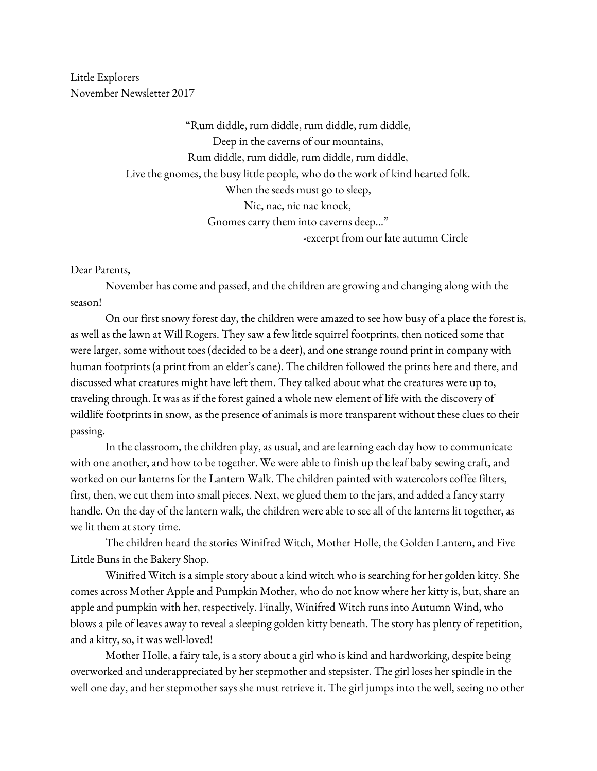Little Explorers November Newsletter 2017

> "Rum diddle, rum diddle, rum diddle, rum diddle, Deep in the caverns of our mountains, Rum diddle, rum diddle, rum diddle, rum diddle, Live the gnomes, the busy little people, who do the work of kind hearted folk. When the seeds must go to sleep, Nic, nac, nic nac knock, Gnomes carry them into caverns deep…" -excerpt from our late autumn Circle

Dear Parents,

November has come and passed, and the children are growing and changing along with the season!

On our first snowy forest day, the children were amazed to see how busy of a place the forest is, as well as the lawn at Will Rogers. They saw a few little squirrel footprints, then noticed some that were larger, some without toes (decided to be a deer), and one strange round print in company with human footprints (a print from an elder's cane). The children followed the prints here and there, and discussed what creatures might have left them. They talked about what the creatures were up to, traveling through. It was as if the forest gained a whole new element of life with the discovery of wildlife footprints in snow, as the presence of animals is more transparent without these clues to their passing.

In the classroom, the children play, as usual, and are learning each day how to communicate with one another, and how to be together. We were able to finish up the leaf baby sewing craft, and worked on our lanterns for the Lantern Walk. The children painted with watercolors coffee filters, first, then, we cut them into small pieces. Next, we glued them to the jars, and added a fancy starry handle. On the day of the lantern walk, the children were able to see all of the lanterns lit together, as we lit them at story time.

The children heard the stories Winifred Witch, Mother Holle, the Golden Lantern, and Five Little Buns in the Bakery Shop.

Winifred Witch is a simple story about a kind witch who is searching for her golden kitty. She comes across Mother Apple and Pumpkin Mother, who do not know where her kitty is, but, share an apple and pumpkin with her, respectively. Finally, Winifred Witch runs into Autumn Wind, who blows a pile of leaves away to reveal a sleeping golden kitty beneath. The story has plenty of repetition, and a kitty, so, it was well-loved!

Mother Holle, a fairy tale, is a story about a girl who is kind and hardworking, despite being overworked and underappreciated by her stepmother and stepsister. The girl loses her spindle in the well one day, and her stepmother says she must retrieve it. The girl jumps into the well, seeing no other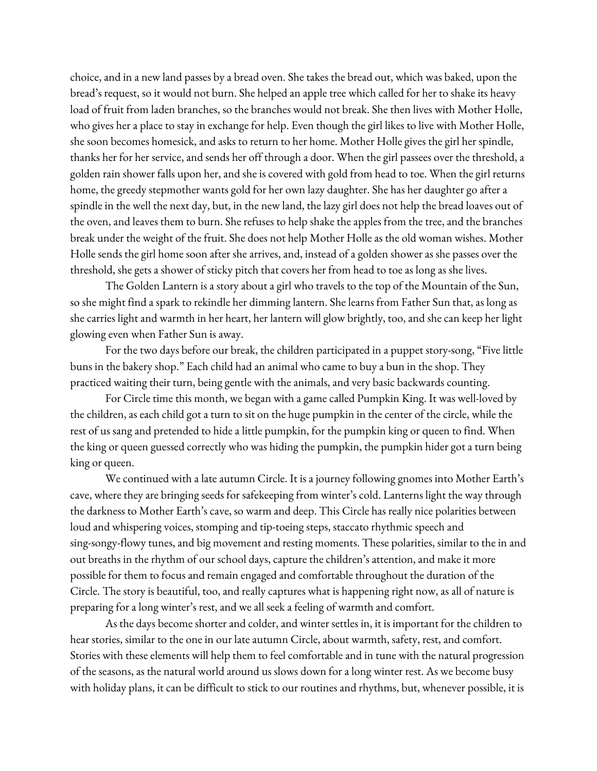choice, and in a new land passes by a bread oven. She takes the bread out, which was baked, upon the bread's request, so it would not burn. She helped an apple tree which called for her to shake its heavy load of fruit from laden branches, so the branches would not break. She then lives with Mother Holle, who gives her a place to stay in exchange for help. Even though the girl likes to live with Mother Holle, she soon becomes homesick, and asks to return to her home. Mother Holle gives the girl her spindle, thanks her for her service, and sends her off through a door. When the girl passees over the threshold, a golden rain shower falls upon her, and she is covered with gold from head to toe. When the girl returns home, the greedy stepmother wants gold for her own lazy daughter. She has her daughter go after a spindle in the well the next day, but, in the new land, the lazy girl does not help the bread loaves out of the oven, and leaves them to burn. She refuses to help shake the apples from the tree, and the branches break under the weight of the fruit. She does not help Mother Holle as the old woman wishes. Mother Holle sends the girl home soon after she arrives, and, instead of a golden shower as she passes over the threshold, she gets a shower of sticky pitch that covers her from head to toe as long as she lives.

The Golden Lantern is a story about a girl who travels to the top of the Mountain of the Sun, so she might find a spark to rekindle her dimming lantern. She learns from Father Sun that, as long as she carries light and warmth in her heart, her lantern will glow brightly, too, and she can keep her light glowing even when Father Sun is away.

For the two days before our break, the children participated in a puppet story-song, "Five little buns in the bakery shop." Each child had an animal who came to buy a bun in the shop. They practiced waiting their turn, being gentle with the animals, and very basic backwards counting.

For Circle time this month, we began with a game called Pumpkin King. It was well-loved by the children, as each child got a turn to sit on the huge pumpkin in the center of the circle, while the rest of us sang and pretended to hide a little pumpkin, for the pumpkin king or queen to find. When the king or queen guessed correctly who was hiding the pumpkin, the pumpkin hider got a turn being king or queen.

We continued with a late autumn Circle. It is a journey following gnomes into Mother Earth's cave, where they are bringing seeds for safekeeping from winter's cold. Lanterns light the way through the darkness to Mother Earth's cave, so warm and deep. This Circle has really nice polarities between loud and whispering voices, stomping and tip-toeing steps, staccato rhythmic speech and sing-songy-flowy tunes, and big movement and resting moments. These polarities, similar to the in and out breaths in the rhythm of our school days, capture the children's attention, and make it more possible for them to focus and remain engaged and comfortable throughout the duration of the Circle. The story is beautiful, too, and really captures what is happening right now, as all of nature is preparing for a long winter's rest, and we all seek a feeling of warmth and comfort.

As the days become shorter and colder, and winter settles in, it is important for the children to hear stories, similar to the one in our late autumn Circle, about warmth, safety, rest, and comfort. Stories with these elements will help them to feel comfortable and in tune with the natural progression of the seasons, as the natural world around us slows down for a long winter rest. As we become busy with holiday plans, it can be difficult to stick to our routines and rhythms, but, whenever possible, it is